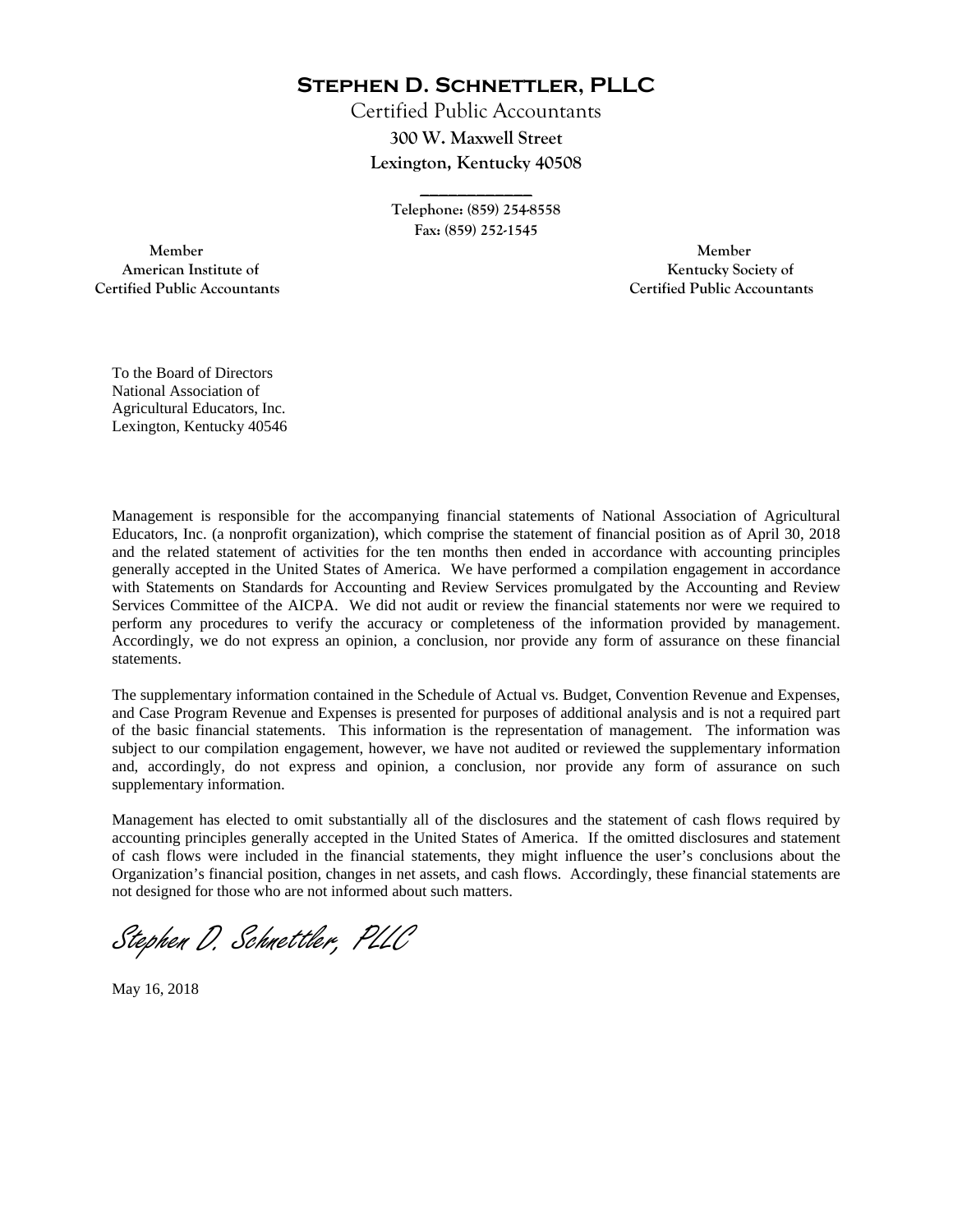**Stephen D. Schnettler, PLLC**

Certified Public Accountants **300 W. Maxwell Street Lexington, Kentucky 40508** 

> **Telephone: (859) 254-8558 Fax: (859) 252-1545**

**\_\_\_\_\_\_\_\_\_\_\_\_** 

 **Member Member Certified Public Accountants Certified Public Accountants** 

American Institute of **Kentucky Society of American Institute of** 

To the Board of Directors National Association of Agricultural Educators, Inc. Lexington, Kentucky 40546

Management is responsible for the accompanying financial statements of National Association of Agricultural Educators, Inc. (a nonprofit organization), which comprise the statement of financial position as of April 30, 2018 and the related statement of activities for the ten months then ended in accordance with accounting principles generally accepted in the United States of America. We have performed a compilation engagement in accordance with Statements on Standards for Accounting and Review Services promulgated by the Accounting and Review Services Committee of the AICPA. We did not audit or review the financial statements nor were we required to perform any procedures to verify the accuracy or completeness of the information provided by management. Accordingly, we do not express an opinion, a conclusion, nor provide any form of assurance on these financial statements.

The supplementary information contained in the Schedule of Actual vs. Budget, Convention Revenue and Expenses, and Case Program Revenue and Expenses is presented for purposes of additional analysis and is not a required part of the basic financial statements. This information is the representation of management. The information was subject to our compilation engagement, however, we have not audited or reviewed the supplementary information and, accordingly, do not express and opinion, a conclusion, nor provide any form of assurance on such supplementary information.

Management has elected to omit substantially all of the disclosures and the statement of cash flows required by accounting principles generally accepted in the United States of America. If the omitted disclosures and statement of cash flows were included in the financial statements, they might influence the user's conclusions about the Organization's financial position, changes in net assets, and cash flows. Accordingly, these financial statements are not designed for those who are not informed about such matters.

Stephen D. Schnettler, PLLC

May 16, 2018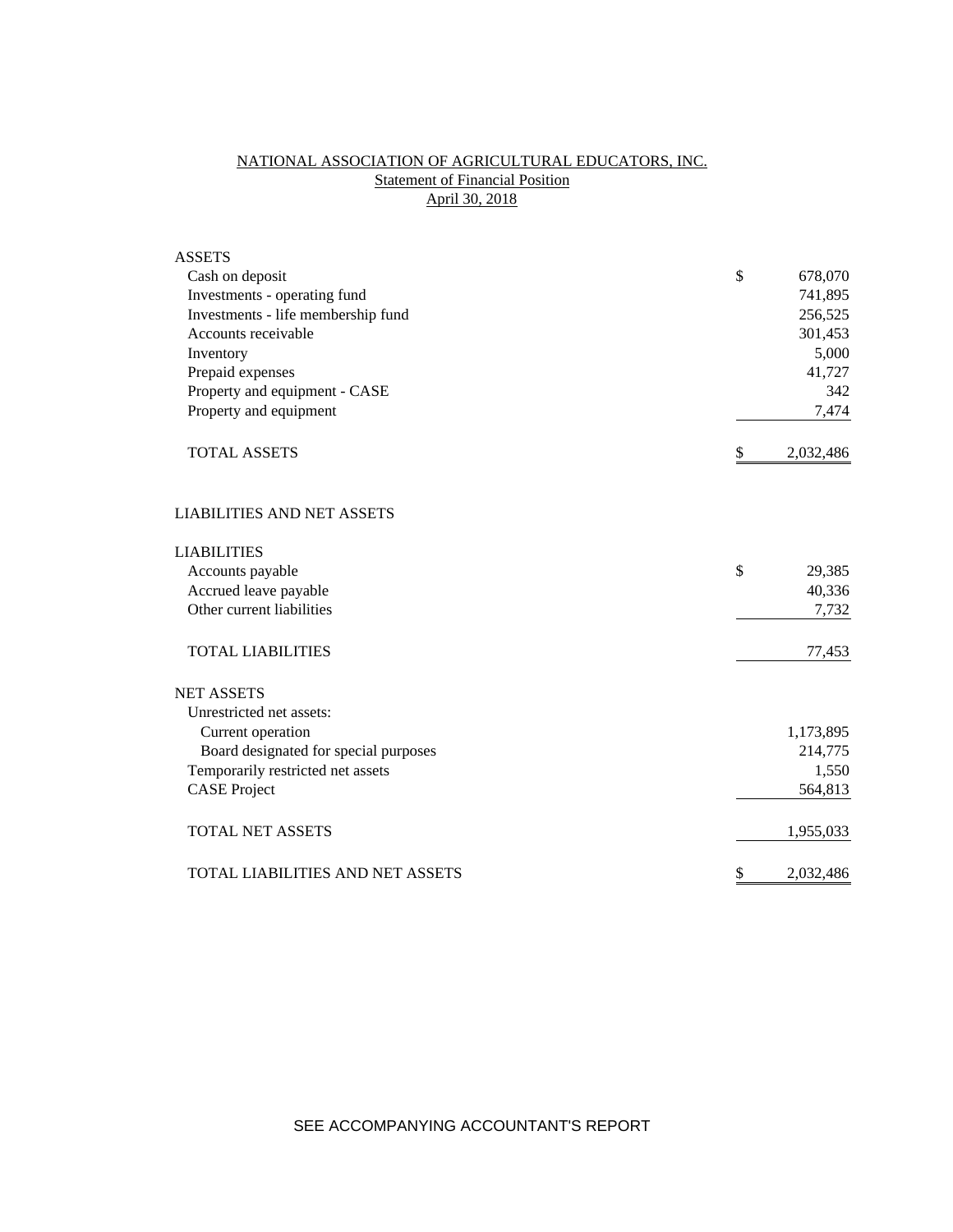# NATIONAL ASSOCIATION OF AGRICULTURAL EDUCATORS, INC. **Statement of Financial Position** April 30, 2018

| <b>ASSETS</b>                           |                 |
|-----------------------------------------|-----------------|
| Cash on deposit                         | \$<br>678,070   |
| Investments - operating fund            | 741,895         |
| Investments - life membership fund      | 256,525         |
| Accounts receivable                     | 301,453         |
| Inventory                               | 5,000           |
| Prepaid expenses                        | 41,727          |
| Property and equipment - CASE           | 342             |
| Property and equipment                  | 7,474           |
| <b>TOTAL ASSETS</b>                     | \$<br>2,032,486 |
| <b>LIABILITIES AND NET ASSETS</b>       |                 |
| <b>LIABILITIES</b>                      |                 |
| Accounts payable                        | \$<br>29,385    |
| Accrued leave payable                   | 40,336          |
| Other current liabilities               | 7,732           |
| <b>TOTAL LIABILITIES</b>                | 77,453          |
| <b>NET ASSETS</b>                       |                 |
| Unrestricted net assets:                |                 |
| Current operation                       | 1,173,895       |
| Board designated for special purposes   | 214,775         |
| Temporarily restricted net assets       | 1,550           |
| <b>CASE Project</b>                     | 564,813         |
| <b>TOTAL NET ASSETS</b>                 | 1,955,033       |
| <b>TOTAL LIABILITIES AND NET ASSETS</b> | \$<br>2,032,486 |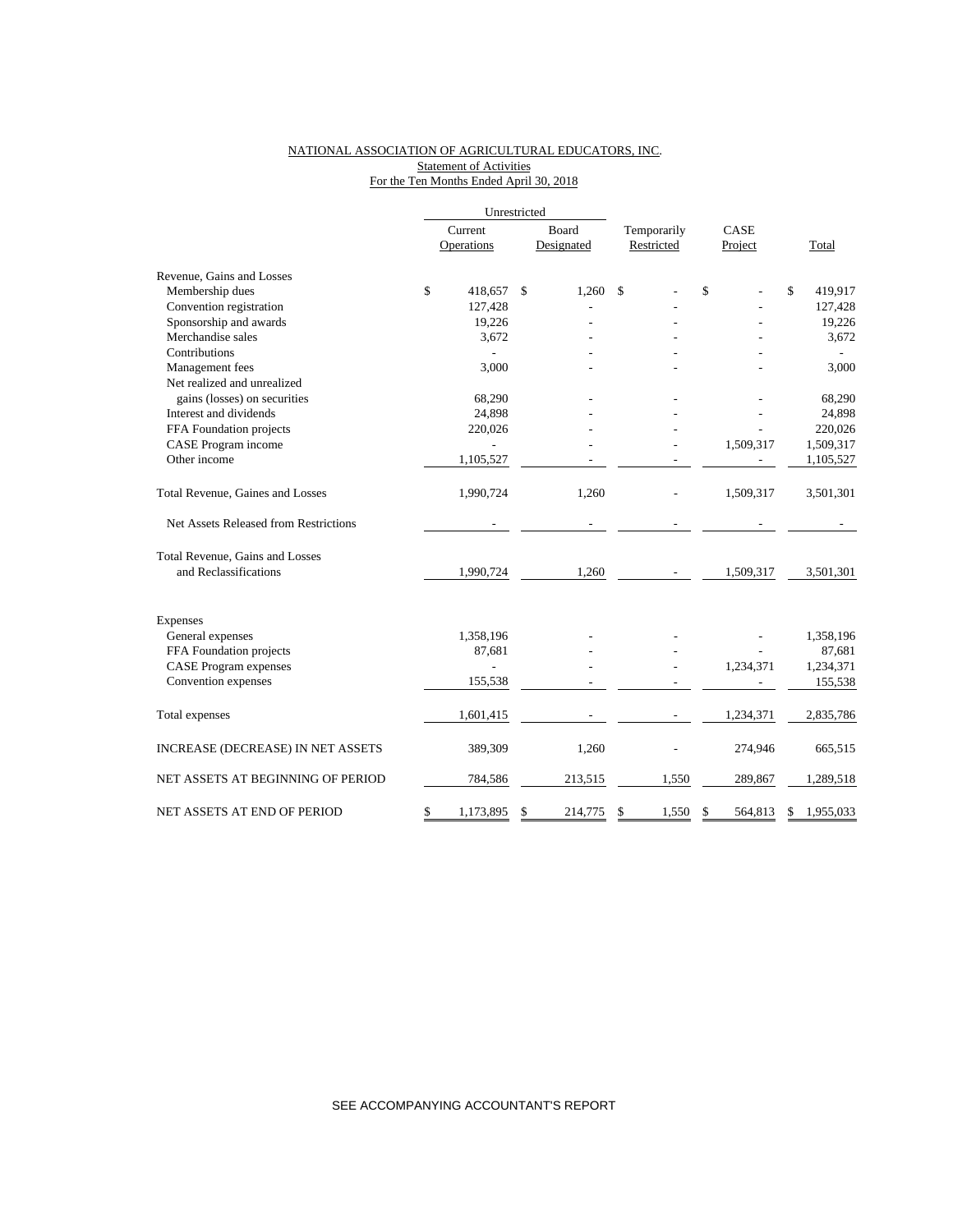## NATIONAL ASSOCIATION OF AGRICULTURAL EDUCATORS, INC. **Statement of Activities** For the Ten Months Ended April 30, 2018

|                                       | Unrestricted    |    |            |             |               |       |           |
|---------------------------------------|-----------------|----|------------|-------------|---------------|-------|-----------|
|                                       | Current         |    | Board      | Temporarily | CASE          |       |           |
|                                       | Operations      |    | Designated | Restricted  | Project       | Total |           |
| Revenue, Gains and Losses             |                 |    |            |             |               |       |           |
| Membership dues                       | \$<br>418,657   | \$ | 1,260      | \$          | \$            | \$    | 419,917   |
| Convention registration               | 127,428         |    |            |             |               |       | 127,428   |
| Sponsorship and awards                | 19,226          |    |            |             |               |       | 19,226    |
| Merchandise sales                     | 3,672           |    |            |             |               |       | 3,672     |
| Contributions                         |                 |    |            |             |               |       |           |
| Management fees                       | 3,000           |    |            |             |               |       | 3,000     |
| Net realized and unrealized           |                 |    |            |             |               |       |           |
| gains (losses) on securities          | 68,290          |    |            |             |               |       | 68,290    |
| Interest and dividends                | 24,898          |    |            |             |               |       | 24,898    |
| FFA Foundation projects               | 220,026         |    |            |             |               |       | 220,026   |
| CASE Program income                   |                 |    |            |             | 1,509,317     |       | 1,509,317 |
| Other income                          | 1,105,527       |    |            |             |               |       | 1,105,527 |
| Total Revenue, Gaines and Losses      | 1,990,724       |    | 1,260      |             | 1,509,317     |       | 3,501,301 |
| Net Assets Released from Restrictions |                 |    |            |             |               |       |           |
| Total Revenue, Gains and Losses       |                 |    |            |             |               |       |           |
| and Reclassifications                 | 1,990,724       |    | 1,260      |             | 1,509,317     |       | 3,501,301 |
| Expenses                              |                 |    |            |             |               |       |           |
| General expenses                      | 1,358,196       |    |            |             |               |       | 1,358,196 |
| FFA Foundation projects               | 87,681          |    |            |             |               |       | 87,681    |
| <b>CASE</b> Program expenses          | $\overline{a}$  |    |            |             | 1,234,371     |       | 1,234,371 |
| Convention expenses                   | 155,538         |    |            |             |               |       | 155,538   |
|                                       |                 |    |            |             |               |       |           |
| Total expenses                        | 1,601,415       |    |            |             | 1,234,371     |       | 2,835,786 |
| INCREASE (DECREASE) IN NET ASSETS     | 389,309         |    | 1,260      |             | 274,946       |       | 665,515   |
| NET ASSETS AT BEGINNING OF PERIOD     | 784,586         |    | 213,515    | 1,550       | 289,867       |       | 1,289,518 |
| NET ASSETS AT END OF PERIOD           | \$<br>1,173,895 | \$ | 214,775    | \$<br>1,550 | \$<br>564,813 | \$    | 1,955,033 |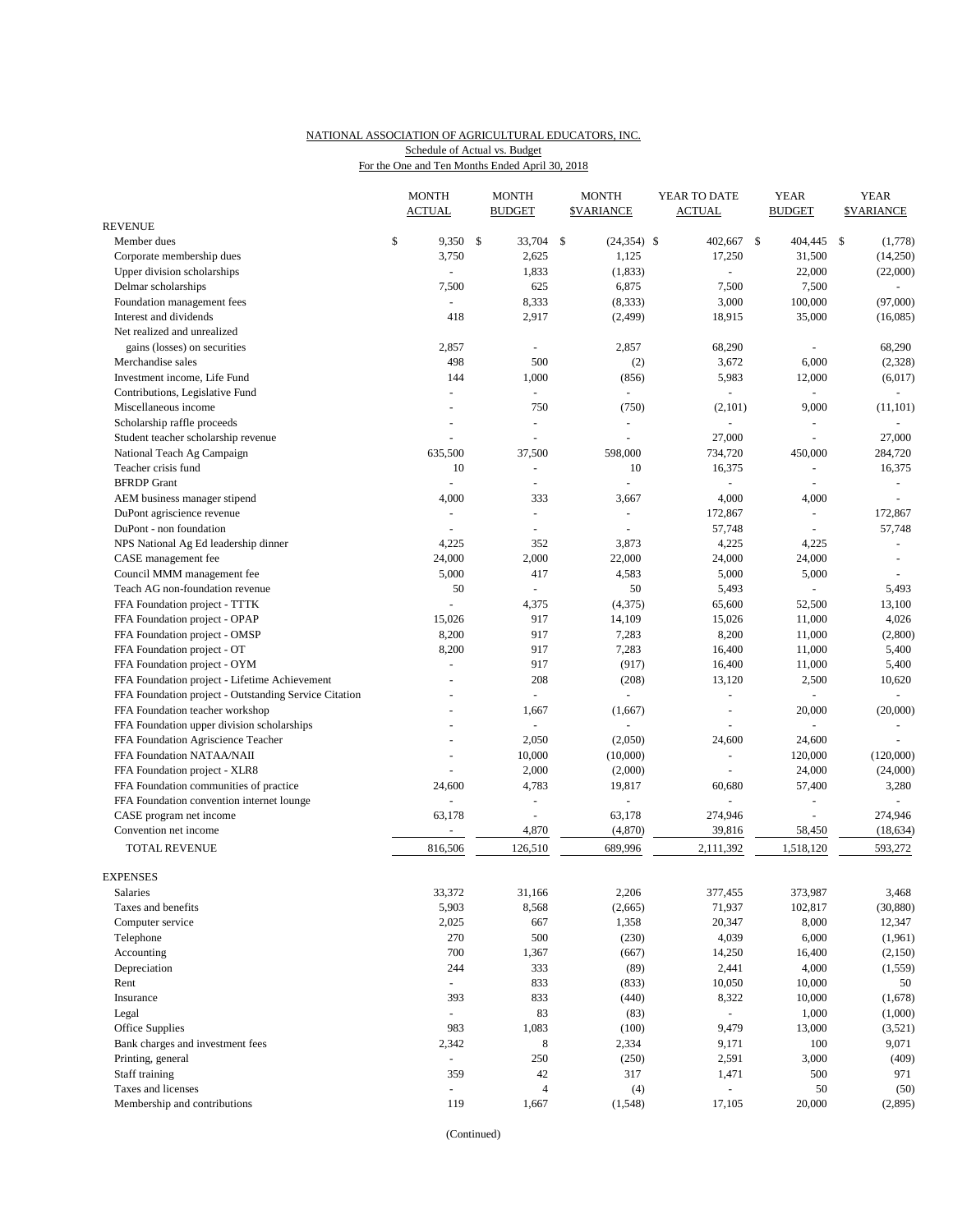# NATIONAL ASSOCIATION OF AGRICULTURAL EDUCATORS, INC. Schedule of Actual vs. Budget

| For the One and Ten Months Ended April 30, 2018 |  |  |  |
|-------------------------------------------------|--|--|--|
|                                                 |  |  |  |

|                                                       | <b>MONTH</b>             | <b>MONTH</b>                               | <b>MONTH</b>         | YEAR TO DATE     | <b>YEAR</b>          | <b>YEAR</b>       |                          |
|-------------------------------------------------------|--------------------------|--------------------------------------------|----------------------|------------------|----------------------|-------------------|--------------------------|
| <b>REVENUE</b>                                        | <b>ACTUAL</b>            | <b>BUDGET</b>                              | <b>\$VARIANCE</b>    | <b>ACTUAL</b>    | <b>BUDGET</b>        | <b>\$VARIANCE</b> |                          |
| Member dues                                           | \$<br>9,350 \$           | 33,704                                     | \$<br>$(24, 354)$ \$ | 402,667 \$       | 404,445              | <b>S</b>          | (1,778)                  |
| Corporate membership dues                             | 3,750                    | 2,625                                      | 1,125                | 17,250           | 31,500               |                   | (14,250)                 |
| Upper division scholarships                           | ÷,                       | 1,833                                      | (1, 833)             | ÷.               | 22,000               |                   | (22,000)                 |
| Delmar scholarships                                   | 7,500                    | 625                                        | 6,875                | 7,500            | 7,500                |                   | $\blacksquare$           |
| Foundation management fees                            |                          | 8,333                                      | (8, 333)             | 3,000            | 100,000              |                   | (97,000)                 |
| Interest and dividends                                | 418                      | 2,917                                      | (2, 499)             | 18,915           | 35,000               |                   | (16,085)                 |
| Net realized and unrealized                           |                          |                                            |                      |                  |                      |                   |                          |
| gains (losses) on securities                          | 2,857                    | $\overline{\phantom{a}}$                   | 2,857                | 68,290           |                      |                   | 68,290                   |
| Merchandise sales                                     | 498                      | 500                                        | (2)                  | 3,672            | 6,000                |                   | (2,328)                  |
| Investment income, Life Fund                          | 144                      | 1,000                                      | (856)                | 5,983            | 12,000               |                   | (6,017)                  |
| Contributions, Legislative Fund                       |                          | ä,                                         | ä,                   |                  |                      |                   |                          |
| Miscellaneous income                                  |                          | 750                                        | (750)                | (2,101)          | 9,000                |                   | (11, 101)                |
| Scholarship raffle proceeds                           |                          | ÷,                                         | ä,                   | $\sim$           |                      |                   |                          |
| Student teacher scholarship revenue                   | L,                       |                                            |                      | 27,000           | $\overline{a}$       |                   | 27,000                   |
| National Teach Ag Campaign                            | 635,500                  | 37,500                                     | 598,000              | 734,720          | 450,000              | 284,720           |                          |
| Teacher crisis fund                                   | 10                       | ä,                                         | 10                   | 16,375           | ÷,                   |                   | 16,375                   |
| <b>BFRDP</b> Grant                                    | $\overline{\phantom{a}}$ | $\blacksquare$                             |                      |                  | ÷,                   |                   | $\overline{\phantom{a}}$ |
| AEM business manager stipend                          | 4,000                    | 333                                        | 3,667                | 4,000            | 4,000                |                   | $\sim$                   |
| DuPont agriscience revenue                            |                          | ä,                                         | $\blacksquare$       | 172,867          | ÷,                   | 172,867           |                          |
| DuPont - non foundation                               |                          | ÷,                                         |                      | 57,748           | ÷,                   |                   | 57,748                   |
| NPS National Ag Ed leadership dinner                  | 4,225                    | 352                                        | 3,873                | 4,225            | 4,225                |                   | $\sim$                   |
| CASE management fee                                   | 24,000                   | 2,000                                      | 22,000               | 24,000           | 24,000               |                   | $\sim$                   |
| Council MMM management fee                            | 5,000                    | 417                                        | 4,583                | 5,000            | 5,000                |                   |                          |
| Teach AG non-foundation revenue                       | 50                       | $\blacksquare$                             | 50                   | 5,493            | L,                   |                   | 5,493                    |
| FFA Foundation project - TTTK                         | L,                       | 4,375                                      | (4, 375)             | 65,600           | 52,500               |                   | 13,100                   |
| FFA Foundation project - OPAP                         | 15,026                   | 917                                        | 14,109               | 15,026           | 11,000               |                   | 4,026                    |
| FFA Foundation project - OMSP                         | 8,200                    | 917                                        | 7,283                | 8,200            | 11,000               |                   | (2,800)                  |
| FFA Foundation project - OT                           | 8,200                    | 917                                        | 7,283                | 16,400           | 11,000               |                   | 5,400                    |
| FFA Foundation project - OYM                          | $\overline{a}$           | 917                                        | (917)                | 16,400           | 11,000               |                   | 5,400                    |
| FFA Foundation project - Lifetime Achievement         |                          | 208                                        | (208)                | 13,120           | 2,500                |                   | 10,620                   |
| FFA Foundation project - Outstanding Service Citation |                          | ÷.                                         | $\omega$             | ÷,               | ÷,                   |                   | $\blacksquare$           |
| FFA Foundation teacher workshop                       |                          | 1,667                                      | (1,667)              | ÷,               | 20,000               |                   | (20,000)                 |
| FFA Foundation upper division scholarships            | $\overline{a}$           | $\Box$                                     |                      |                  |                      |                   | $\sim$                   |
| FFA Foundation Agriscience Teacher                    |                          | 2,050                                      | (2,050)              | 24,600           | 24,600               |                   |                          |
| FFA Foundation NATAA/NAII                             |                          | 10,000                                     | (10,000)             |                  | 120,000              | (120,000)         |                          |
| FFA Foundation project - XLR8                         |                          | 2,000                                      | (2,000)              | ÷,               | 24,000               |                   | (24,000)                 |
| FFA Foundation communities of practice                | 24,600                   | 4,783                                      | 19,817               | 60,680           | 57,400               |                   | 3,280                    |
| FFA Foundation convention internet lounge             |                          | $\blacksquare$<br>$\overline{\phantom{a}}$ | 63,178               | 274,946          | L,<br>$\overline{a}$ |                   |                          |
| CASE program net income<br>Convention net income      | 63,178<br>$\blacksquare$ | 4,870                                      | (4,870)              | 39,816           | 58,450               | 274,946           | (18, 634)                |
|                                                       |                          |                                            |                      |                  |                      |                   |                          |
| <b>TOTAL REVENUE</b>                                  | 816,506                  | 126,510                                    | 689,996              | 2,111,392        | 1,518,120            | 593,272           |                          |
| <b>EXPENSES</b>                                       |                          |                                            |                      |                  |                      |                   |                          |
| Salaries                                              | 33,372                   | 31,166                                     | 2,206                | 377,455          | 373,987              |                   | 3,468                    |
| Taxes and benefits                                    | 5,903                    | 8,568                                      | (2,665)              | 71,937           | 102,817              |                   | (30, 880)                |
| Computer service                                      | 2,025                    | 667                                        | 1,358                | 20,347           | 8,000                |                   | 12,347                   |
| Telephone                                             | 270                      | 500                                        | (230)                | 4,039            | 6,000                |                   | (1,961)                  |
| Accounting                                            | 700                      | 1,367                                      | (667)                | 14,250           | 16,400               |                   | (2,150)                  |
| Depreciation                                          | 244                      | 333                                        | (89)                 | 2,441            | 4,000                |                   | (1, 559)                 |
| Rent                                                  | $\blacksquare$           | 833                                        | (833)                | 10,050           | 10,000               |                   | 50                       |
| Insurance                                             | 393                      | 833                                        | (440)                | 8,322            | 10,000               |                   | (1,678)                  |
| Legal                                                 | ÷.                       | 83                                         | (83)                 | $\omega$         | 1,000                |                   | (1,000)                  |
| Office Supplies                                       | 983                      | 1,083                                      | (100)                | 9,479            | 13,000               |                   | (3,521)                  |
| Bank charges and investment fees                      | 2,342                    | 8                                          | 2,334                | 9,171            | 100                  |                   | 9,071                    |
| Printing, general                                     | ÷,                       | 250                                        | (250)                | 2,591            | 3,000                |                   | (409)                    |
| Staff training                                        | 359                      | 42                                         | 317                  | 1,471            | 500                  |                   | 971                      |
| Taxes and licenses                                    |                          | $\overline{4}$                             | (4)                  | $\omega_{\rm c}$ | 50                   |                   | (50)                     |
| Membership and contributions                          | 119                      | 1,667                                      | (1, 548)             | 17,105           | 20,000               |                   | (2,895)                  |
|                                                       |                          |                                            |                      |                  |                      |                   |                          |

(Continued)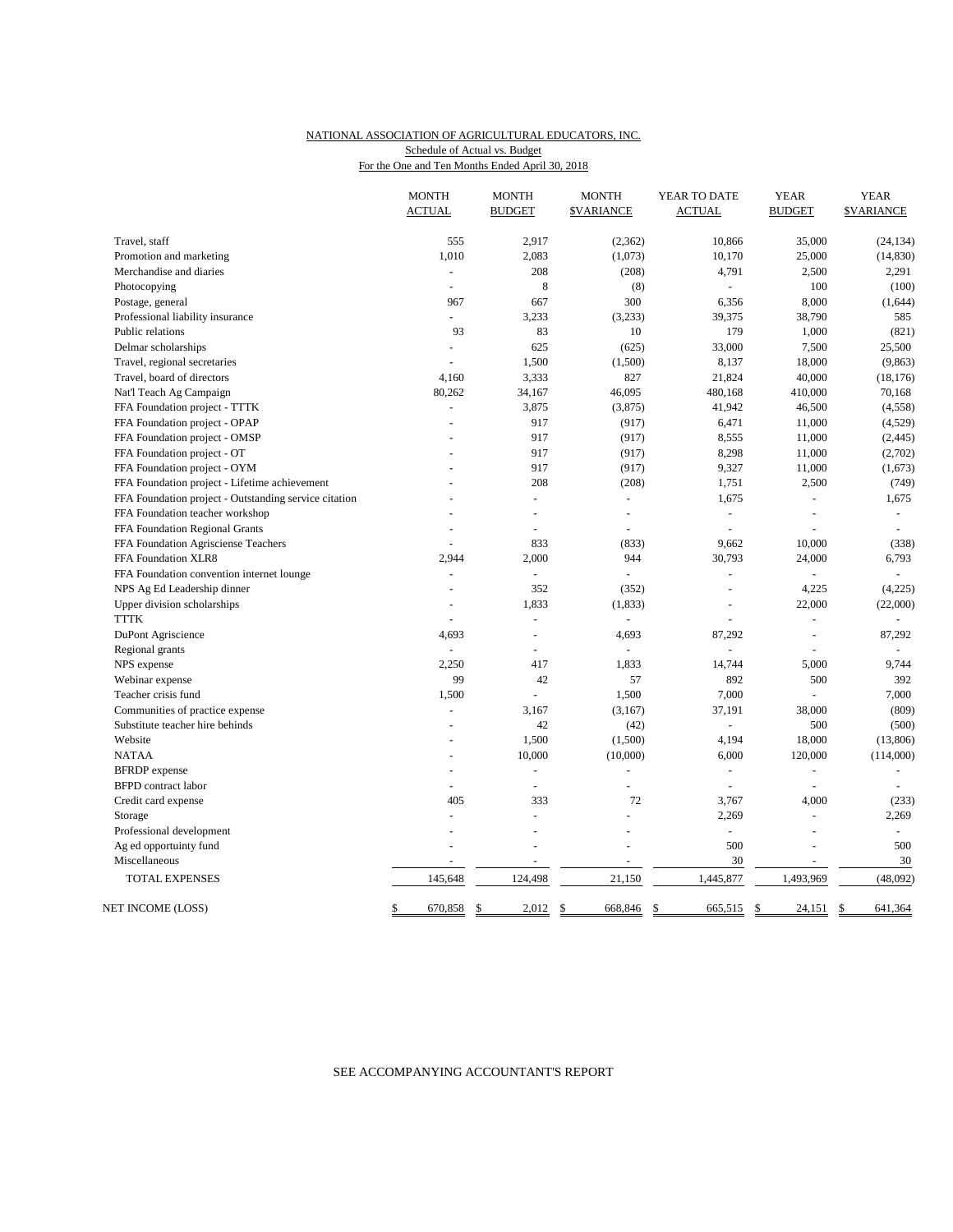## NATIONAL ASSOCIATION OF AGRICULTURAL EDUCATORS, INC. Schedule of Actual vs. Budget

For the One and Ten Months Ended April 30, 2018

|                                                       | <b>MONTH</b><br><b>ACTUAL</b> | <b>MONTH</b><br><b>BUDGET</b> | <b>MONTH</b><br><b><i>SVARIANCE</i></b> | YEAR TO DATE<br><b>ACTUAL</b> | <b>YEAR</b><br><b>BUDGET</b> | <b>YEAR</b><br><b>SVARIANCE</b> |
|-------------------------------------------------------|-------------------------------|-------------------------------|-----------------------------------------|-------------------------------|------------------------------|---------------------------------|
| Travel, staff                                         | 555                           | 2,917                         | (2, 362)                                | 10,866                        | 35,000                       | (24, 134)                       |
| Promotion and marketing                               | 1,010                         | 2,083                         | (1,073)                                 | 10,170                        | 25,000                       | (14, 830)                       |
| Merchandise and diaries                               | $\overline{a}$                | 208                           | (208)                                   | 4,791                         | 2,500                        | 2,291                           |
| Photocopying                                          | $\overline{\phantom{a}}$      | 8                             | (8)                                     | $\equiv$                      | 100                          | (100)                           |
| Postage, general                                      | 967                           | 667                           | 300                                     | 6,356                         | 8,000                        | (1,644)                         |
| Professional liability insurance                      | $\overline{a}$                | 3,233                         | (3,233)                                 | 39,375                        | 38,790                       | 585                             |
| Public relations                                      | 93                            | 83                            | 10                                      | 179                           | 1,000                        | (821)                           |
| Delmar scholarships                                   | ÷,                            | 625                           | (625)                                   | 33,000                        | 7,500                        | 25,500                          |
| Travel, regional secretaries                          | ÷.                            | 1,500                         | (1,500)                                 | 8,137                         | 18,000                       | (9, 863)                        |
| Travel, board of directors                            | 4,160                         | 3,333                         | 827                                     | 21,824                        | 40,000                       | (18, 176)                       |
| Nat'l Teach Ag Campaign                               | 80,262                        | 34,167                        | 46,095                                  | 480,168                       | 410,000                      | 70,168                          |
| FFA Foundation project - TTTK                         | $\overline{a}$                | 3,875                         | (3,875)                                 | 41,942                        | 46,500                       | (4,558)                         |
| FFA Foundation project - OPAP                         |                               | 917                           | (917)                                   | 6,471                         | 11,000                       | (4,529)                         |
| FFA Foundation project - OMSP                         |                               | 917                           | (917)                                   | 8,555                         | 11,000                       | (2, 445)                        |
| FFA Foundation project - OT                           |                               | 917                           | (917)                                   | 8,298                         | 11,000                       | (2,702)                         |
| FFA Foundation project - OYM                          |                               | 917                           | (917)                                   | 9,327                         | 11,000                       | (1,673)                         |
| FFA Foundation project - Lifetime achievement         |                               | 208                           | (208)                                   | 1,751                         | 2,500                        | (749)                           |
| FFA Foundation project - Outstanding service citation |                               | ÷,                            | $\bar{\phantom{a}}$                     | 1,675                         | $\overline{a}$               | 1,675                           |
| FFA Foundation teacher workshop                       |                               | L.                            | ä,                                      | ÷,                            | ÷                            | $\blacksquare$                  |
| FFA Foundation Regional Grants                        |                               | L                             | ÷,                                      | ÷,                            | L.                           | $\bar{a}$                       |
| FFA Foundation Agrisciense Teachers                   |                               | 833                           | (833)                                   | 9,662                         | 10,000                       | (338)                           |
| FFA Foundation XLR8                                   | 2,944                         | 2,000                         | 944                                     | 30,793                        | 24,000                       | 6,793                           |
| FFA Foundation convention internet lounge             | ÷,                            | L.                            | ÷,                                      | $\overline{a}$                | L                            | $\omega$                        |
| NPS Ag Ed Leadership dinner                           | ÷                             | 352                           | (352)                                   | $\sim$                        | 4,225                        | (4,225)                         |
| Upper division scholarships                           |                               | 1,833                         | (1, 833)                                | L.                            | 22,000                       | (22,000)                        |
| <b>TTTK</b>                                           | $\overline{a}$                | ÷,                            | $\overline{a}$                          | ÷,                            | $\overline{\phantom{a}}$     |                                 |
| DuPont Agriscience                                    | 4.693                         |                               | 4,693                                   | 87,292                        |                              | 87,292                          |
| Regional grants                                       |                               | $\overline{a}$                |                                         |                               |                              |                                 |
| NPS expense                                           | 2,250                         | 417                           | 1,833                                   | 14,744                        | 5,000                        | 9,744                           |
| Webinar expense                                       | 99                            | 42                            | 57                                      | 892                           | 500                          | 392                             |
| Teacher crisis fund                                   | 1,500                         | $\overline{a}$                | 1,500                                   | 7,000                         | L.                           | 7,000                           |
| Communities of practice expense                       | L.                            | 3,167                         | (3,167)                                 | 37,191                        | 38,000                       | (809)                           |
| Substitute teacher hire behinds                       | $\overline{a}$                | 42                            | (42)                                    | $\overline{a}$                | 500                          | (500)                           |
| Website                                               |                               | 1,500                         | (1,500)                                 | 4,194                         | 18,000                       | (13, 806)                       |
| <b>NATAA</b>                                          | ÷                             | 10,000                        | (10,000)                                | 6,000                         | 120,000                      | (114,000)                       |
| <b>BFRDP</b> expense                                  |                               |                               |                                         | L,                            |                              |                                 |
| <b>BFPD</b> contract labor                            |                               | $\overline{a}$                | $\overline{a}$                          | $\sim$                        | L.                           |                                 |
| Credit card expense                                   | 405                           | 333                           | 72                                      | 3,767                         | 4,000                        | (233)                           |
| Storage                                               | $\overline{a}$                | $\overline{a}$                | ٠                                       | 2,269                         | $\bar{a}$                    | 2,269                           |
| Professional development                              |                               |                               |                                         | $\Box$                        | L,                           | $\omega$                        |
| Ag ed opportuinty fund                                |                               |                               | L,                                      | 500                           |                              | 500                             |
| Miscellaneous                                         |                               | $\overline{\phantom{a}}$      | $\blacksquare$                          | 30                            | ÷,                           | 30                              |
| <b>TOTAL EXPENSES</b>                                 | 145,648                       | 124,498                       | 21,150                                  | 1,445,877                     | 1,493,969                    | (48,092)                        |
| NET INCOME (LOSS)                                     | $\mathbb{S}$<br>670,858       | <sup>\$</sup><br>2,012        | <sup>\$</sup><br>668,846                | -S<br>665,515                 | \$<br>24,151 \$              | 641,364                         |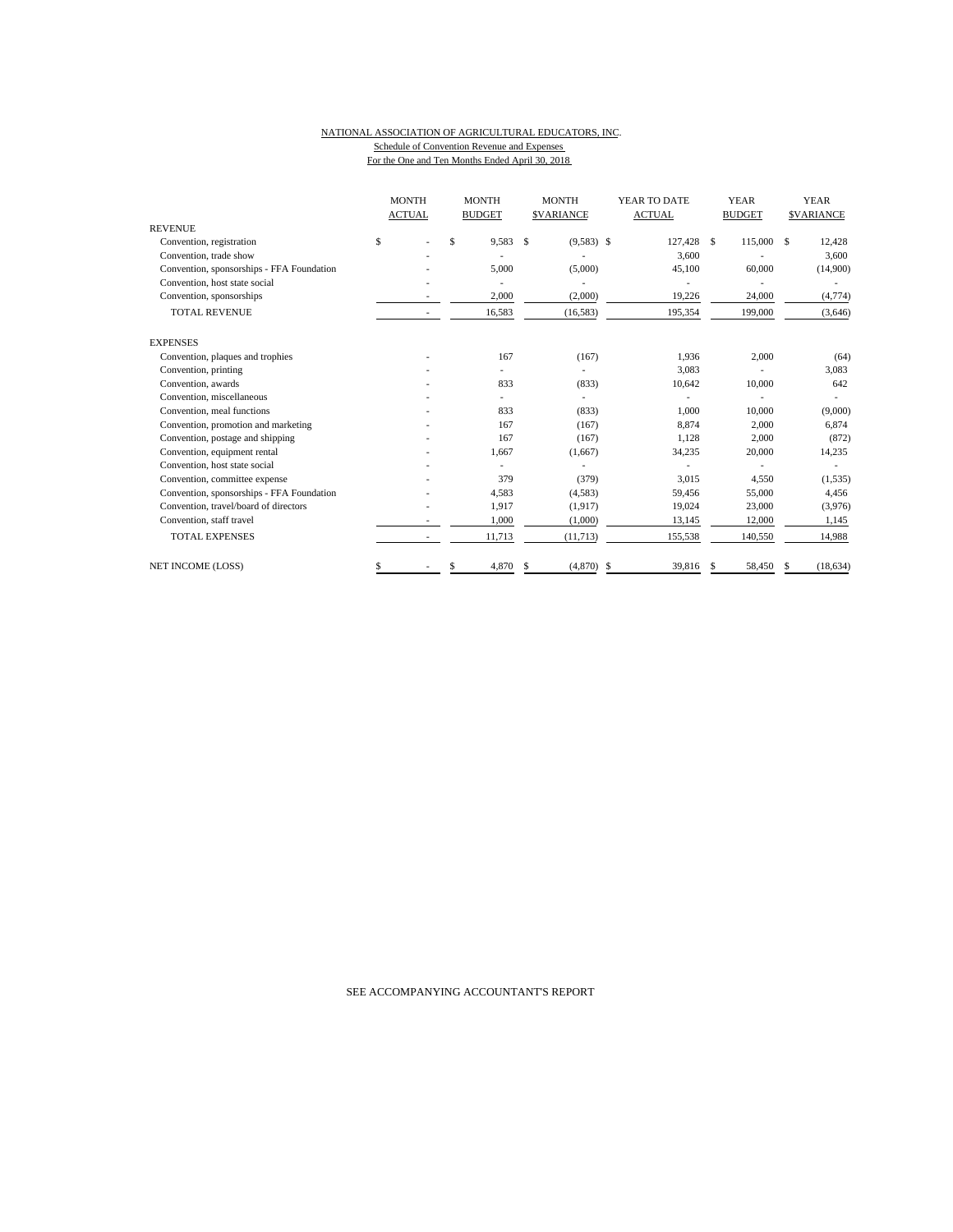### NATIONAL ASSOCIATION OF AGRICULTURAL EDUCATORS, INC. Schedule of Convention Revenue and Expenses For the One and Ten Months Ended April 30, 2018

|                                           |    | <b>MONTH</b><br><b>ACTUAL</b> | <b>MONTH</b><br><b>BUDGET</b> |               | <b>MONTH</b><br><b>SVARIANCE</b> | YEAR TO DATE<br><b>ACTUAL</b> |    | <b>YEAR</b><br><b>BUDGET</b> |      | <b>YEAR</b><br><b>SVARIANCE</b> |
|-------------------------------------------|----|-------------------------------|-------------------------------|---------------|----------------------------------|-------------------------------|----|------------------------------|------|---------------------------------|
| <b>REVENUE</b>                            |    |                               |                               |               |                                  |                               |    |                              |      |                                 |
| Convention, registration                  | \$ |                               | \$<br>9,583                   | <sup>\$</sup> | $(9,583)$ \$                     | 127,428 \$                    |    | 115,000                      | - \$ | 12,428                          |
| Convention, trade show                    |    |                               |                               |               |                                  | 3,600                         |    |                              |      | 3,600                           |
| Convention, sponsorships - FFA Foundation |    |                               | 5,000                         |               | (5,000)                          | 45,100                        |    | 60,000                       |      | (14,900)                        |
| Convention, host state social             |    |                               |                               |               |                                  |                               |    |                              |      |                                 |
| Convention, sponsorships                  |    |                               | 2,000                         |               | (2,000)                          | 19,226                        |    | 24,000                       |      | (4, 774)                        |
| <b>TOTAL REVENUE</b>                      |    |                               | 16,583                        |               | (16, 583)                        | 195,354                       |    | 199,000                      |      | (3,646)                         |
| <b>EXPENSES</b>                           |    |                               |                               |               |                                  |                               |    |                              |      |                                 |
| Convention, plaques and trophies          |    |                               | 167                           |               | (167)                            | 1,936                         |    | 2,000                        |      | (64)                            |
| Convention, printing                      |    |                               |                               |               |                                  | 3,083                         |    |                              |      | 3,083                           |
| Convention, awards                        |    |                               | 833                           |               | (833)                            | 10,642                        |    | 10,000                       |      | 642                             |
| Convention, miscellaneous                 |    |                               |                               |               | ٠                                |                               |    |                              |      |                                 |
| Convention, meal functions                |    |                               | 833                           |               | (833)                            | 1,000                         |    | 10,000                       |      | (9,000)                         |
| Convention, promotion and marketing       |    |                               | 167                           |               | (167)                            | 8,874                         |    | 2,000                        |      | 6,874                           |
| Convention, postage and shipping          |    |                               | 167                           |               | (167)                            | 1,128                         |    | 2,000                        |      | (872)                           |
| Convention, equipment rental              |    |                               | 1,667                         |               | (1,667)                          | 34,235                        |    | 20,000                       |      | 14,235                          |
| Convention, host state social             |    |                               |                               |               |                                  |                               |    |                              |      |                                 |
| Convention, committee expense             |    |                               | 379                           |               | (379)                            | 3,015                         |    | 4,550                        |      | (1, 535)                        |
| Convention, sponsorships - FFA Foundation |    |                               | 4,583                         |               | (4,583)                          | 59,456                        |    | 55,000                       |      | 4,456                           |
| Convention, travel/board of directors     |    |                               | 1,917                         |               | (1,917)                          | 19,024                        |    | 23,000                       |      | (3,976)                         |
| Convention, staff travel                  |    |                               | 1,000                         |               | (1,000)                          | 13,145                        |    | 12,000                       |      | 1,145                           |
| <b>TOTAL EXPENSES</b>                     |    |                               | 11,713                        |               | (11, 713)                        | 155,538                       |    | 140,550                      |      | 14,988                          |
| <b>NET INCOME (LOSS)</b>                  | S  |                               | 4,870                         | S             | (4,870)                          | \$<br>39,816                  | -S | 58,450                       |      | (18, 634)                       |